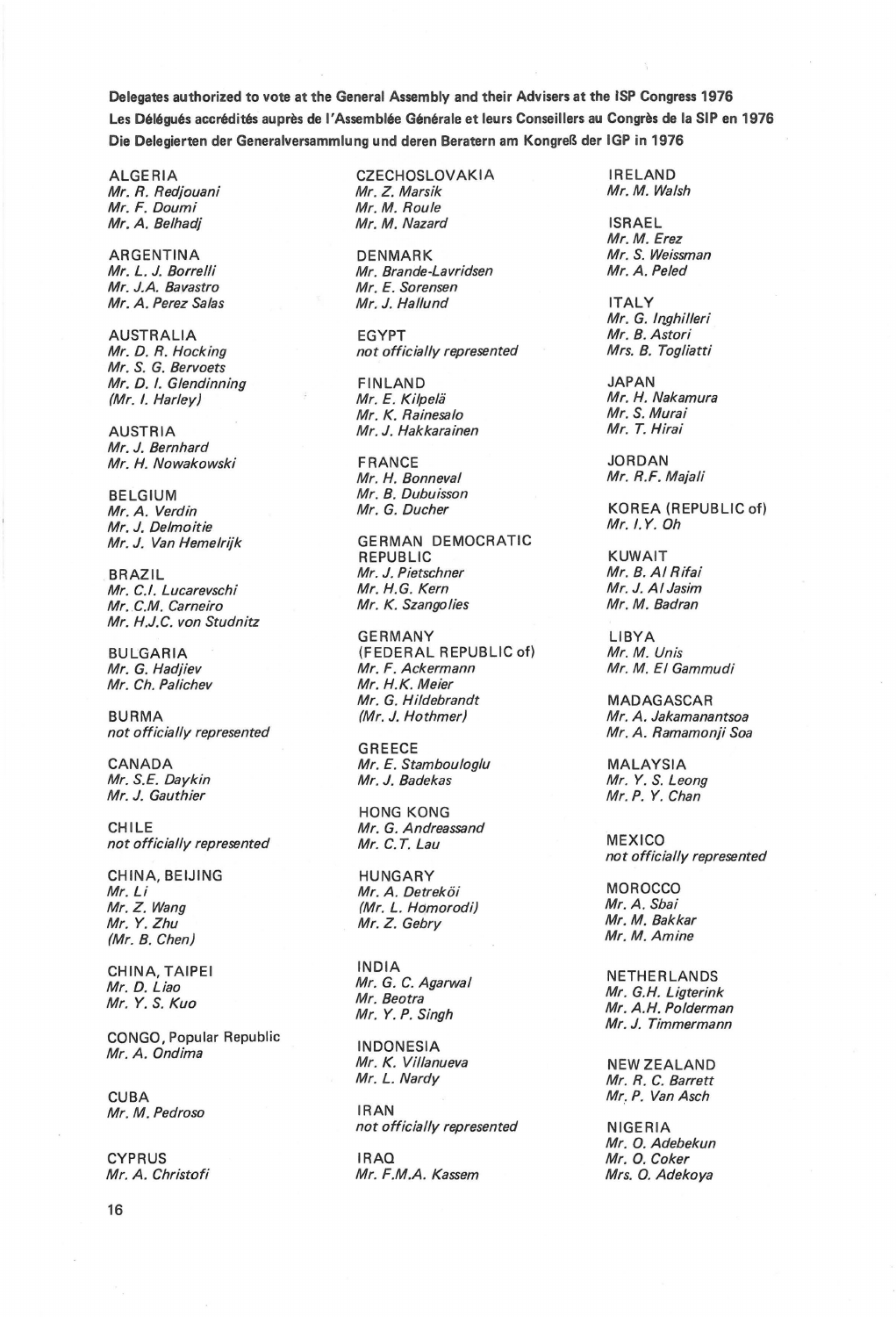Delegates authorized to vote at the General Assembly and their Advisers at the ISP Congress 1976 Les Déléqués accrédités auprès de l'Assemblée Générale et leurs Conseillers au Congrès de la SIP en 1976 Die Delegierten der Generalversammlung und deren Beratern am KongreB der IGP in 1976

Mr. R. Redjouani Mr. Z. Marsik Mr. F. Doumi<br>Mr. F. Doumi Mr. M. Mr. M. Roule Mr. F. Doumi<br>Mr. A. Belhadj

Mr. J.A. Bavastro Mr. E. Sorensen<br>Mr. A. Perez Salas Mr. J. Hallund

Mr. S. G. Bervoets Mr. D. I. Glendinning FINLAND JAPAN

Mr. J. Bernhard

BELGIUM Mr. B. Dubuisson<br>
Mr. A. Verdin Mr. G. Ducher Mr. J. Delmoitie<br>Mr. J. Van Hemelrijk

Mr. C.M. Carneiro Mr. H.J.C. von Studnitz

not officially represented Mr. A. Ramamonji Soa

Mr. J. Gauthier

CHILE<br>
not officially represented
Mr. C.T. Lau not officially represented Mr. C.T. Lau MEXICO

CHINA, BEIJING HUNGARY<br> *Mr. Li* Mr. Li Mr. A. Detreköi (Mr. A. Detreköi MOROCCO)<br>Mr. Z. Wang (Mr. L. Homorodi) Mr. A. Sbai Mr. Z. Wang (Mr. L. Hdmorodi) Mr. A. Sbai  $(Mr. B. Chen)$ 

CONGO, Popular Republic INDONESIA Mr. A. Ondima Mr. K. Villanueva NEW ZEALAND

CUBA Mr. P. Van Asch<br>Mr. M. Pedroso (RAN) RAN Mr. M. Pedroso

ALGERIA CZECHOSLOVAKIA IRELAND<br>Mr. R. Rediouani Mr. Z. Marsik II. Mr. Mr. Mr. M. Walsh Mr. M. Nazard ISRAEL

ARGENTINA DENMARK DENMARK Mr. S. Weissman<br>
Mr. L. J. Borrelli Mr. Brande-Lavridsen Mr. A. Peled Mr. Brande-Lavridsen<br>Mr. E. Sorensen Mr. A. Perez Salas Mr. J. Hallund ITALY

AUSTRALIA EGYPT Mr. B. Astori not officially represented

(Mr. I. Harley) Mr. E. Kilpela Mr. H. Nakamura Mr. K. Rainesalo Mr. S. Murai AUSTRIA Mr. J. Hakkarainen

Mr. H. Nowakowski FRANCE JORDAN Mr. H. Bonneval

**GERMAN DEMOCRATIC** REPUBLIC KUWAIT BRAZIL Mr. J. Pietschner Mr. B. AI Rifai Mr. C.!. Lucarevschi Mr. H.G. Kern Mr. J. AI Jasim

GERMANY LIBYA<br>(FEDERAL REPUBLIC of) Mr. M. Unis BULGARIA (FEDERAL REPUBLIC of) Mr. M. Unis<br>Mr. G. Hadjiev Mr. F. Ackermann Mr. M. El Gammudi Mr. G. Hadjiev Mr. F. Ackermann Mr. M. El Gammudi Mr. Ch. Palichev Mr. H.K. Meier Mr. G. Hildebrandt MADAGASCAR<br>(Mr. J. Hothmer) Mr. A. Jakamana. BURMA (Mr. J. Hothmer) Mr. A. Jakamanantsoa

GREECE CANADA Mr. E. Stambouloglu MALAYSIA<br>Mr. S.E. Daykin Mr. J. Badekas Mr. S. Lec

HONG KONG

CHINA, TAIPEI INDIA NETHERLANDS

not officially represented NIGERIA

CYPRUS IRAQ Mr. 0. Coker Mr. A. Christofi Mr. F.M.A. Kassem Mrs. 0. Adekoya

Mr. M. Erez

Mr. G. Inghilleri

KOREA (REPUBLIC of)<br>Mr. I.Y. Oh

Mr. Y. S. Leong<br>Mr. P. Y. Chan

not officially represented

Mr. Z. Gebry Mr. M. Bakkar<br>Mr. M. Amine

Mr. D. Liao Mr. G. C. Agarwal Mr. G.H. Ligterink Mr. Y. S. Kuo Mr. Beotra Mr. Beotra<br>Mr. Y. P. Singh Mr. A.H. Polderman<br>Mr. J. Timmermann Mr. J. Timmermann

Mr. L. Nardy Mr. R. C. Barrett

Mr. 0. Adebekun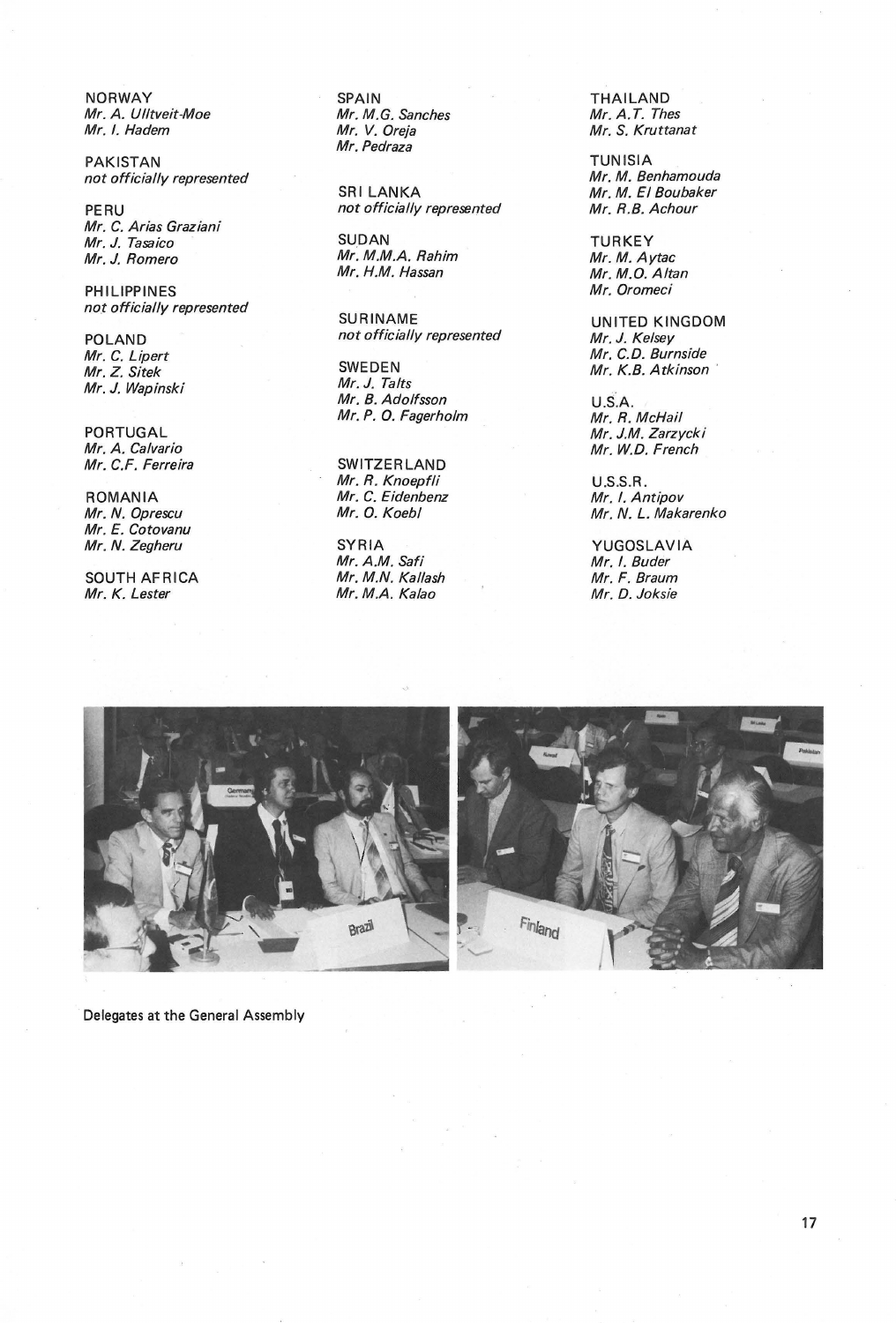NORWAY SPAIN THAILAND Mr. A. Ulltveit-Moe Mr. M. G. Sanches Mr. M. G. San<br>Mr. I. Hadem

PAKISTAN<br>
not officially represented<br>
not officially represented<br>  $Mr. M. Benhamouda$ not officially represented<br>SRI LANKA

Mr. C. Arias Graziani m. J. Tasaico (Califannia: SUDAN SUDAN TURKEY)<br>Mr. J. Tasaico (Mr. M.M.A. Rahim Mr. M. Aytac<br>Mr. J. Romero (Mr. M.M.A. Rahim Mr. M. Aytac

PHILIPPINES<br>not officially represented

Mr. C. Lipert<br>Mr. Z. Sitek SWEDEN Mr. J. Wapinski

Mr. C.F. Ferreira

Mr. N. Oprescu<br>Mr. E. Cotovanu

SOUTH AFRICA Mr. M.N. Kallash Mr. M. M.F. Braum<br>Mr. K. Lester Mr. M.A. Kalao Mr. M.P. Joksie

Mr. Pedraza

PERU not officially represented

Mr. M.M.A. Rahim<br>Mr. H.M. Hassan

no.t officially represented SURINAME<br>POLAND not officially represented Mr. J. Kelsey

SWEDEN Mr. K.B. Atkinson<br>Mr. J. Talts Mr. B. Adolfsson<br>Mr. P. O. Fagerholm Mr. R. McHail Mr. P. O. Fagerholm

Mr. R. Knoepfli U.S.S.R. ROMANIA Mr. C. Eidenbenz<br>Mr. N. Oprescu Mr. O. Koebl

Mr. M.A. Kalao

Mr. S. Kruttanat

Mr. M. El Boubaker<br>Mr. R.B. Achour

Mr. M.O. Altan<br>Mr. Oromeci

not officially represented Mr. J. Kelsey<br>Mr. C.D. Burnside

PORTUGAL Mr. J.M. Zarzycki SWITZERLAND Mr. W.D. French

Mr. N. L. Makarenko

Mr. N. Zegheru SYRIA YUGOSLAVIA Mr. I. Buder<br>Mr. F. Braum



Delegates at the General Assembly